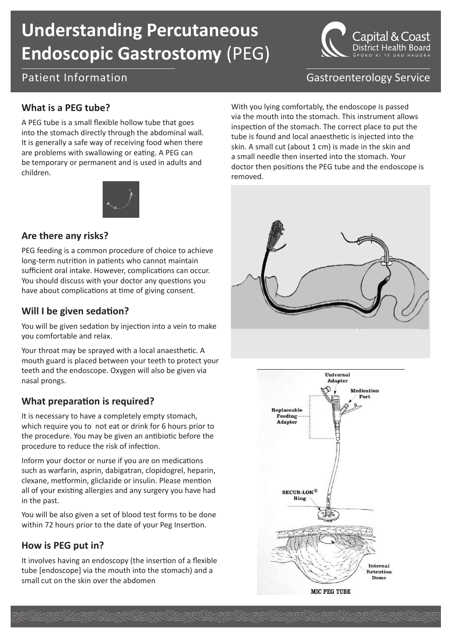# **Understanding Percutaneous Endoscopic Gastrostomy** (PEG)





# Patient Information Communication Castroenterology Service

## **What is a PEG tube?**

A PEG tube is a small flexible hollow tube that goes into the stomach directly through the abdominal wall. It is generally a safe way of receiving food when there are problems with swallowing or eating. A PEG can be temporary or permanent and is used in adults and children.



#### **Are there any risks?**

PEG feeding is a common procedure of choice to achieve long-term nutrition in patients who cannot maintain sufficient oral intake. However, complications can occur. You should discuss with your doctor any questions you have about complications at time of giving consent.

## **Will I be given sedation?**

You will be given sedation by injection into a vein to make you comfortable and relax.

Your throat may be sprayed with a local anaesthetic. A mouth guard is placed between your teeth to protect your teeth and the endoscope. Oxygen will also be given via nasal prongs.

## **What preparation is required?**

It is necessary to have a completely empty stomach, which require you to not eat or drink for 6 hours prior to the procedure. You may be given an antibiotic before the procedure to reduce the risk of infection.

Inform your doctor or nurse if you are on medications such as warfarin, asprin, dabigatran, clopidogrel, heparin, clexane, metformin, gliclazide or insulin. Please mention all of your existing allergies and any surgery you have had in the past.

You will be also given a set of blood test forms to be done within 72 hours prior to the date of your Peg Insertion.

## **How is PEG put in?**

It involves having an endoscopy (the insertion of a flexible tube [endoscope] via the mouth into the stomach) and a small cut on the skin over the abdomen

With you lying comfortably, the endoscope is passed via the mouth into the stomach. This instrument allows inspection of the stomach. The correct place to put the tube is found and local anaesthetic is injected into the skin. A small cut (about 1 cm) is made in the skin and a small needle then inserted into the stomach. Your doctor then positions the PEG tube and the endoscope is removed.